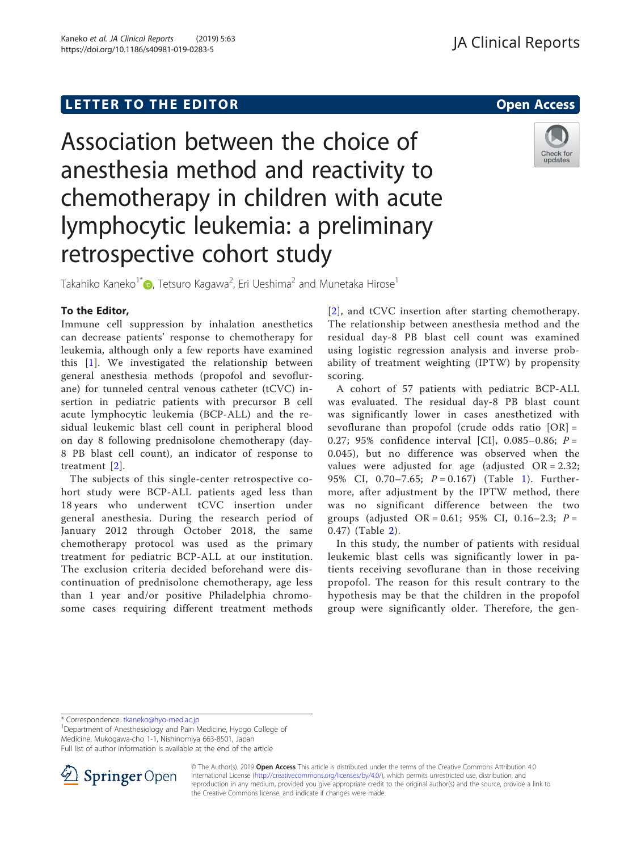# Association between the choice of anesthesia method and reactivity to chemotherapy in children with acute lymphocytic leukemia: a preliminary retrospective cohort study



Takahiko Kaneko $^{1^{\ast}}$  (O[,](http://orcid.org/0000-0001-9058-6321) Tetsuro Kagawa $^{2}$ , Eri Ueshima $^{2}$  and Munetaka Hirose $^{1}$ 

## To the Editor,

Immune cell suppression by inhalation anesthetics can decrease patients' response to chemotherapy for leukemia, although only a few reports have examined this [\[1](#page-2-0)]. We investigated the relationship between general anesthesia methods (propofol and sevoflurane) for tunneled central venous catheter (tCVC) insertion in pediatric patients with precursor B cell acute lymphocytic leukemia (BCP-ALL) and the residual leukemic blast cell count in peripheral blood on day 8 following prednisolone chemotherapy (day-8 PB blast cell count), an indicator of response to treatment [[2\]](#page-2-0).

The subjects of this single-center retrospective cohort study were BCP-ALL patients aged less than 18 years who underwent tCVC insertion under general anesthesia. During the research period of January 2012 through October 2018, the same chemotherapy protocol was used as the primary treatment for pediatric BCP-ALL at our institution. The exclusion criteria decided beforehand were discontinuation of prednisolone chemotherapy, age less than 1 year and/or positive Philadelphia chromosome cases requiring different treatment methods

[[2](#page-2-0)], and tCVC insertion after starting chemotherapy. The relationship between anesthesia method and the residual day-8 PB blast cell count was examined using logistic regression analysis and inverse probability of treatment weighting (IPTW) by propensity scoring.

A cohort of 57 patients with pediatric BCP-ALL was evaluated. The residual day-8 PB blast count was significantly lower in cases anesthetized with sevoflurane than propofol (crude odds ratio  $[OR] =$ 0.27; 95% confidence interval [CI], 0.085-0.86;  $P =$ 0.045), but no difference was observed when the values were adjusted for age (adjusted  $OR = 2.32$ ; 95% CI, 0.70-7.65;  $P = 0.167$  (Table [1\)](#page-1-0). Furthermore, after adjustment by the IPTW method, there was no significant difference between the two groups (adjusted OR = 0.61; 95% CI, 0.16–2.3;  $P =$ 0.47) (Table [2](#page-1-0)).

In this study, the number of patients with residual leukemic blast cells was significantly lower in patients receiving sevoflurane than in those receiving propofol. The reason for this result contrary to the hypothesis may be that the children in the propofol group were significantly older. Therefore, the gen-

\* Correspondence: [tkaneko@hyo-med.ac.jp](mailto:tkaneko@hyo-med.ac.jp) <sup>1</sup>

<sup>1</sup>Department of Anesthesiology and Pain Medicine, Hyogo College of Medicine, Mukogawa-cho 1-1, Nishinomiya 663-8501, Japan Full list of author information is available at the end of the article



<sup>©</sup> The Author(s). 2019 Open Access This article is distributed under the terms of the Creative Commons Attribution 4.0 International License ([http://creativecommons.org/licenses/by/4.0/\)](http://creativecommons.org/licenses/by/4.0/), which permits unrestricted use, distribution, and reproduction in any medium, provided you give appropriate credit to the original author(s) and the source, provide a link to the Creative Commons license, and indicate if changes were made.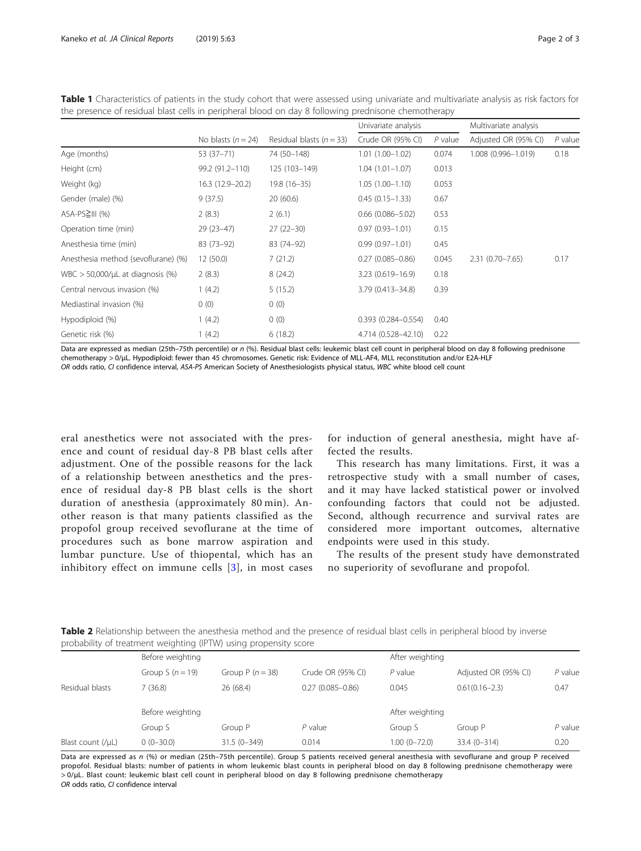|                                     |                      |                              | Univariate analysis    |           | Multivariate analysis |           |
|-------------------------------------|----------------------|------------------------------|------------------------|-----------|-----------------------|-----------|
|                                     | No blasts $(n = 24)$ | Residual blasts ( $n = 33$ ) | Crude OR (95% CI)      | $P$ value | Adjusted OR (95% CI)  | $P$ value |
| Age (months)                        | $53(37-71)$          | 74 (50-148)                  | $1.01(1.00-1.02)$      | 0.074     | 1.008 (0.996-1.019)   | 0.18      |
| Height (cm)                         | 99.2 (91.2-110)      | 125 (103-149)                | $1.04(1.01-1.07)$      | 0.013     |                       |           |
| Weight (kg)                         | 16.3 (12.9 - 20.2)   | $19.8(16 - 35)$              | $1.05(1.00-1.10)$      | 0.053     |                       |           |
| Gender (male) (%)                   | 9(37.5)              | 20(60.6)                     | $0.45(0.15 - 1.33)$    | 0.67      |                       |           |
| $ASA-PS2III$ (%)                    | 2(8.3)               | 2(6.1)                       | $0.66(0.086 - 5.02)$   | 0.53      |                       |           |
| Operation time (min)                | $29(23-47)$          | $27(22-30)$                  | $0.97(0.93 - 1.01)$    | 0.15      |                       |           |
| Anesthesia time (min)               | $83(73-92)$          | 83 (74-92)                   | $0.99(0.97 - 1.01)$    | 0.45      |                       |           |
| Anesthesia method (sevoflurane) (%) | 12(50.0)             | 7(21.2)                      | $0.27(0.085 - 0.86)$   | 0.045     | $2.31(0.70 - 7.65)$   | 0.17      |
| WBC $>$ 50,000/µL at diagnosis (%)  | 2(8.3)               | 8(24.2)                      | $3.23(0.619 - 16.9)$   | 0.18      |                       |           |
| Central nervous invasion (%)        | 1(4.2)               | 5(15.2)                      | 3.79 (0.413-34.8)      | 0.39      |                       |           |
| Mediastinal invasion (%)            | 0(0)                 | 0(0)                         |                        |           |                       |           |
| Hypodiploid (%)                     | 1(4.2)               | 0(0)                         | $0.393(0.284 - 0.554)$ | 0.40      |                       |           |
| Genetic risk (%)                    | 1(4.2)               | 6(18.2)                      | 4.714 (0.528-42.10)    | 0.22      |                       |           |

<span id="page-1-0"></span>Table 1 Characteristics of patients in the study cohort that were assessed using univariate and multivariate analysis as risk factors for the presence of residual blast cells in peripheral blood on day 8 following prednisone chemotherapy

Data are expressed as median (25th–75th percentile) or n (%). Residual blast cells: leukemic blast cell count in peripheral blood on day 8 following prednisone chemotherapy > 0/μL. Hypodiploid: fewer than 45 chromosomes. Genetic risk: Evidence of MLL-AF4, MLL reconstitution and/or E2A-HLF OR odds ratio, CI confidence interval, ASA-PS American Society of Anesthesiologists physical status, WBC white blood cell count

eral anesthetics were not associated with the presence and count of residual day-8 PB blast cells after adjustment. One of the possible reasons for the lack of a relationship between anesthetics and the presence of residual day-8 PB blast cells is the short duration of anesthesia (approximately 80 min). Another reason is that many patients classified as the propofol group received sevoflurane at the time of procedures such as bone marrow aspiration and lumbar puncture. Use of thiopental, which has an inhibitory effect on immune cells [[3\]](#page-2-0), in most cases

for induction of general anesthesia, might have affected the results.

This research has many limitations. First, it was a retrospective study with a small number of cases, and it may have lacked statistical power or involved confounding factors that could not be adjusted. Second, although recurrence and survival rates are considered more important outcomes, alternative endpoints were used in this study.

The results of the present study have demonstrated no superiority of sevoflurane and propofol.

Table 2 Relationship between the anesthesia method and the presence of residual blast cells in peripheral blood by inverse probability of treatment weighting (IPTW) using propensity score

|                       | Before weighting   |                   |                      | After weighting  |                      |           |
|-----------------------|--------------------|-------------------|----------------------|------------------|----------------------|-----------|
|                       | Group S $(n = 19)$ | Group $P(n = 38)$ | Crude OR (95% CI)    | $P$ value        | Adjusted OR (95% CI) | $P$ value |
| Residual blasts       | 7(36.8)            | 26 (68.4)         | $0.27(0.085 - 0.86)$ | 0.045            | $0.61(0.16 - 2.3)$   | 0.47      |
|                       | Before weighting   |                   | After weighting      |                  |                      |           |
|                       | Group S            | Group P           | $P$ value            | Group S          | Group P              | $P$ value |
| Blast count $(\mu L)$ | $0(0-30.0)$        | $31.5(0 - 349)$   | 0.014                | $1.00(0 - 72.0)$ | $33.4(0 - 314)$      | 0.20      |
|                       |                    |                   |                      |                  |                      |           |

Data are expressed as n (%) or median (25th–75th percentile). Group S patients received general anesthesia with sevoflurane and group P received propofol. Residual blasts: number of patients in whom leukemic blast counts in peripheral blood on day 8 following prednisone chemotherapy were > 0/μL. Blast count: leukemic blast cell count in peripheral blood on day 8 following prednisone chemotherapy OR odds ratio, CI confidence interval